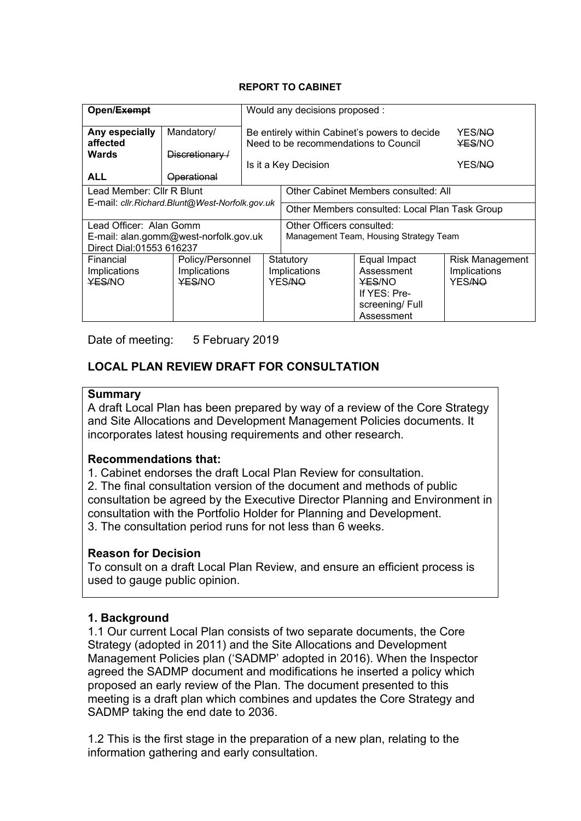#### **REPORT TO CABINET**

| Open/Exempt                                                                                     |                                 |                                                                     | Would any decisions proposed :                                                                                 |                                                         |  |
|-------------------------------------------------------------------------------------------------|---------------------------------|---------------------------------------------------------------------|----------------------------------------------------------------------------------------------------------------|---------------------------------------------------------|--|
| Any especially<br>affected<br><b>Wards</b>                                                      | Mandatory/<br>$Discretionary-1$ |                                                                     | Be entirely within Cabinet's powers to decide<br>Need to be recommendations to Council<br>Is it a Key Decision | YES/NO<br><b>YES/NO</b><br>YES/NO                       |  |
| <b>ALL</b>                                                                                      | <b>Operational</b>              |                                                                     |                                                                                                                |                                                         |  |
| Lead Member: Cllr R Blunt                                                                       |                                 |                                                                     | Other Cabinet Members consulted: All                                                                           |                                                         |  |
| E-mail: cllr. Richard. Blunt@West-Norfolk.gov.uk                                                |                                 | Other Members consulted: Local Plan Task Group                      |                                                                                                                |                                                         |  |
| Lead Officer: Alan Gomm<br>E-mail: alan.gomm@west-norfolk.gov.uk<br>Direct Dial:01553 616237    |                                 | Other Officers consulted:<br>Management Team, Housing Strategy Team |                                                                                                                |                                                         |  |
| Financial<br>Policy/Personnel<br>Implications<br>Implications<br><b>YES/NO</b><br><b>YES/NO</b> |                                 | Statutory<br>Implications<br><b>YESANO</b>                          | Equal Impact<br>Assessment<br><b>YES/NO</b><br>If YES: Pre-<br>screening/Full<br>Assessment                    | <b>Risk Management</b><br>Implications<br><b>YESANO</b> |  |

Date of meeting: 5 February 2019

## **LOCAL PLAN REVIEW DRAFT FOR CONSULTATION**

#### **Summary**

A draft Local Plan has been prepared by way of a review of the Core Strategy and Site Allocations and Development Management Policies documents. It incorporates latest housing requirements and other research.

#### **Recommendations that:**

1. Cabinet endorses the draft Local Plan Review for consultation.

2. The final consultation version of the document and methods of public consultation be agreed by the Executive Director Planning and Environment in consultation with the Portfolio Holder for Planning and Development. 3. The consultation period runs for not less than 6 weeks.

#### **Reason for Decision**

To consult on a draft Local Plan Review, and ensure an efficient process is used to gauge public opinion.

#### **1. Background**

1.1 Our current Local Plan consists of two separate documents, the Core Strategy (adopted in 2011) and the Site Allocations and Development Management Policies plan ('SADMP' adopted in 2016). When the Inspector agreed the SADMP document and modifications he inserted a policy which proposed an early review of the Plan. The document presented to this meeting is a draft plan which combines and updates the Core Strategy and SADMP taking the end date to 2036.

1.2 This is the first stage in the preparation of a new plan, relating to the information gathering and early consultation.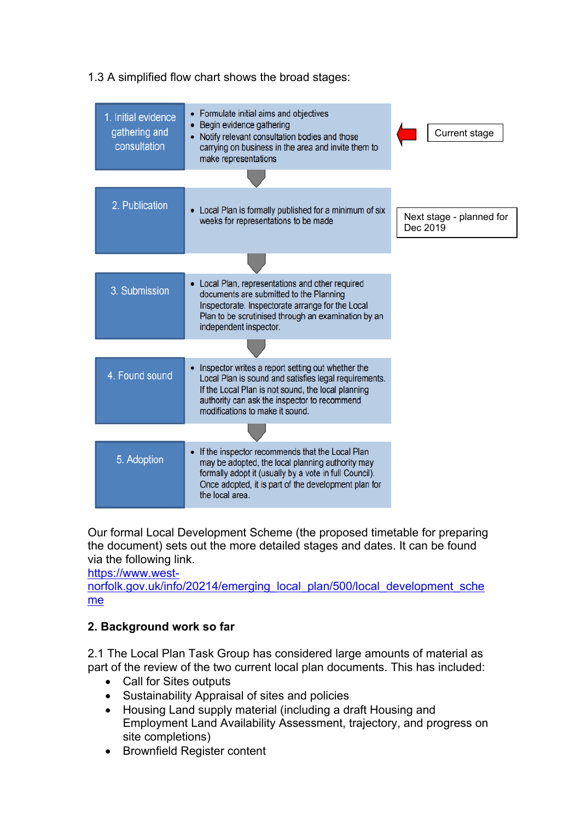| 1. Initial evidence<br>gathering and<br>consultation | Formulate initial aims and objectives<br>٠<br>Begin evidence gathering<br>٠<br>Notify relevant consultation bodies and those<br>$\bullet$<br>carrying on business in the area and invite them to<br>make representations                                 | Current stage                        |
|------------------------------------------------------|----------------------------------------------------------------------------------------------------------------------------------------------------------------------------------------------------------------------------------------------------------|--------------------------------------|
|                                                      |                                                                                                                                                                                                                                                          |                                      |
| 2. Publication                                       | • Local Plan is formally published for a minimum of six<br>weeks for representations to be made                                                                                                                                                          | Next stage - planned for<br>Dec 2019 |
|                                                      |                                                                                                                                                                                                                                                          |                                      |
| 3. Submission                                        | • Local Plan, representations and other required<br>documents are submitted to the Planning<br>Inspectorate. Inspectorate arrange for the Local<br>Plan to be scrutinised through an examination by an<br>independent inspector.                         |                                      |
|                                                      |                                                                                                                                                                                                                                                          |                                      |
| 4. Found sound                                       | Inspector writes a report setting out whether the<br>٠<br>Local Plan is sound and satisfies legal requirements.<br>If the Local Plan is not sound, the local planning<br>authority can ask the inspector to recommend<br>modifications to make it sound. |                                      |
|                                                      |                                                                                                                                                                                                                                                          |                                      |
| 5. Adoption                                          | If the inspector recommends that the Local Plan<br>$\bullet$<br>may be adopted, the local planning authority may<br>formally adopt it (usually by a vote in full Council).<br>Once adopted, it is part of the development plan for<br>the local area.    |                                      |

# 1.3 A simplified flow chart shows the broad stages:

Our formal Local Development Scheme (the proposed timetable for preparing the document) sets out the more detailed stages and dates. It can be found via the following link.

[https://www.west-](https://www.west-norfolk.gov.uk/info/20214/emerging_local_plan/500/local_development_scheme)

[norfolk.gov.uk/info/20214/emerging\\_local\\_plan/500/local\\_development\\_sche](https://www.west-norfolk.gov.uk/info/20214/emerging_local_plan/500/local_development_scheme) [me](https://www.west-norfolk.gov.uk/info/20214/emerging_local_plan/500/local_development_scheme)

## **2. Background work so far**

2.1 The Local Plan Task Group has considered large amounts of material as part of the review of the two current local plan documents. This has included:

- Call for Sites outputs
- Sustainability Appraisal of sites and policies
- Housing Land supply material (including a draft Housing and Employment Land Availability Assessment, trajectory, and progress on site completions)
- Brownfield Register content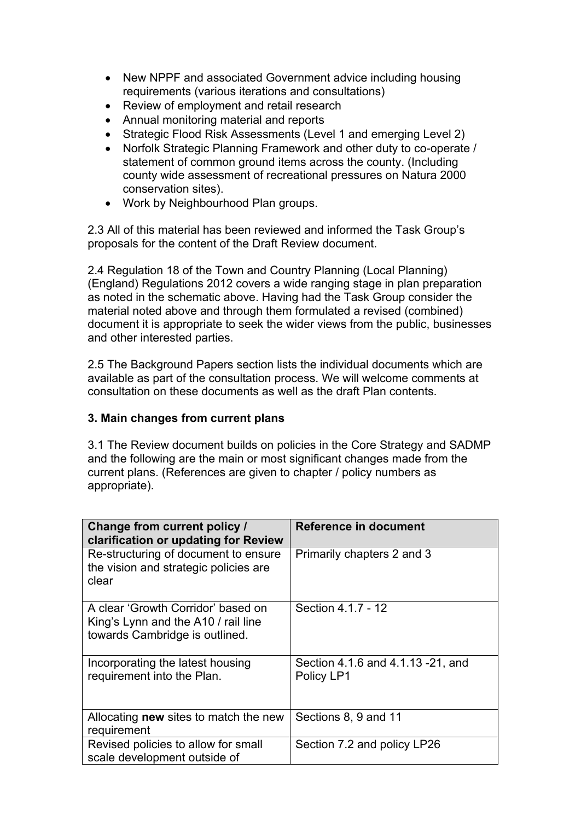- New NPPF and associated Government advice including housing requirements (various iterations and consultations)
- Review of employment and retail research
- Annual monitoring material and reports
- Strategic Flood Risk Assessments (Level 1 and emerging Level 2)
- Norfolk Strategic Planning Framework and other duty to co-operate / statement of common ground items across the county. (Including county wide assessment of recreational pressures on Natura 2000 conservation sites).
- Work by Neighbourhood Plan groups.

2.3 All of this material has been reviewed and informed the Task Group's proposals for the content of the Draft Review document.

2.4 Regulation 18 of the Town and Country Planning (Local Planning) (England) Regulations 2012 covers a wide ranging stage in plan preparation as noted in the schematic above. Having had the Task Group consider the material noted above and through them formulated a revised (combined) document it is appropriate to seek the wider views from the public, businesses and other interested parties.

2.5 The Background Papers section lists the individual documents which are available as part of the consultation process. We will welcome comments at consultation on these documents as well as the draft Plan contents.

#### **3. Main changes from current plans**

3.1 The Review document builds on policies in the Core Strategy and SADMP and the following are the main or most significant changes made from the current plans. (References are given to chapter / policy numbers as appropriate).

| <b>Change from current policy /</b><br>clarification or updating for Review                                 | <b>Reference in document</b>                    |
|-------------------------------------------------------------------------------------------------------------|-------------------------------------------------|
| Re-structuring of document to ensure<br>the vision and strategic policies are<br>clear                      | Primarily chapters 2 and 3                      |
| A clear 'Growth Corridor' based on<br>King's Lynn and the A10 / rail line<br>towards Cambridge is outlined. | Section 4.1.7 - 12                              |
| Incorporating the latest housing<br>requirement into the Plan.                                              | Section 4.1.6 and 4.1.13 -21, and<br>Policy LP1 |
| Allocating <b>new</b> sites to match the new<br>requirement                                                 | Sections 8, 9 and 11                            |
| Revised policies to allow for small<br>scale development outside of                                         | Section 7.2 and policy LP26                     |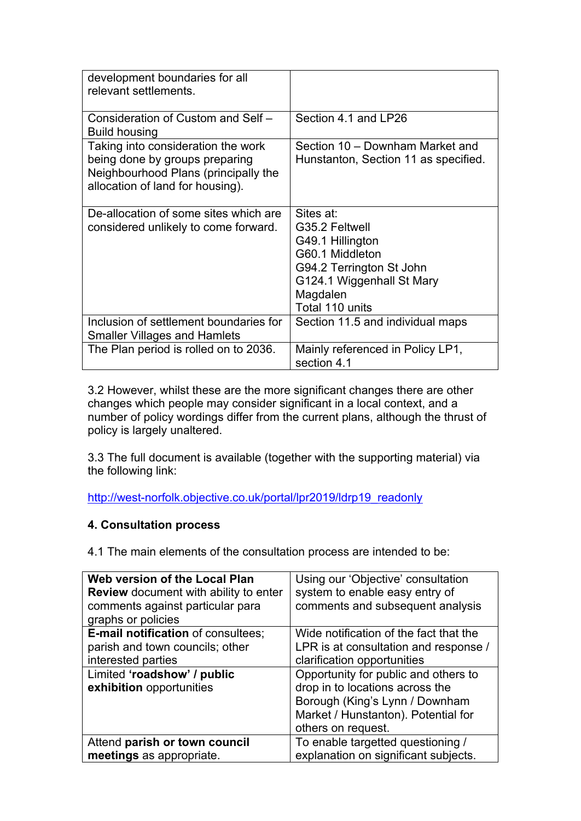| development boundaries for all<br>relevant settlements.                                                                                          |                                                                                                                                                            |
|--------------------------------------------------------------------------------------------------------------------------------------------------|------------------------------------------------------------------------------------------------------------------------------------------------------------|
| Consideration of Custom and Self -<br>Build housing                                                                                              | Section 4.1 and LP26                                                                                                                                       |
| Taking into consideration the work<br>being done by groups preparing<br>Neighbourhood Plans (principally the<br>allocation of land for housing). | Section 10 – Downham Market and<br>Hunstanton, Section 11 as specified.                                                                                    |
| De-allocation of some sites which are<br>considered unlikely to come forward.                                                                    | Sites at:<br>G35.2 Feltwell<br>G49.1 Hillington<br>G60.1 Middleton<br>G94.2 Terrington St John<br>G124.1 Wiggenhall St Mary<br>Magdalen<br>Total 110 units |
| Inclusion of settlement boundaries for<br><b>Smaller Villages and Hamlets</b>                                                                    | Section 11.5 and individual maps                                                                                                                           |
| The Plan period is rolled on to 2036.                                                                                                            | Mainly referenced in Policy LP1,<br>section 4.1                                                                                                            |

3.2 However, whilst these are the more significant changes there are other changes which people may consider significant in a local context, and a number of policy wordings differ from the current plans, although the thrust of policy is largely unaltered.

3.3 The full document is available (together with the supporting material) via the following link:

[http://west-norfolk.objective.co.uk/portal/lpr2019/ldrp19\\_readonly](http://west-norfolk.objective.co.uk/portal/lpr2019/ldrp19_readonly)

## **4. Consultation process**

4.1 The main elements of the consultation process are intended to be:

| Web version of the Local Plan                           | Using our 'Objective' consultation                                                                                                                                     |
|---------------------------------------------------------|------------------------------------------------------------------------------------------------------------------------------------------------------------------------|
| <b>Review</b> document with ability to enter            | system to enable easy entry of                                                                                                                                         |
| comments against particular para<br>graphs or policies  | comments and subsequent analysis                                                                                                                                       |
| <b>E-mail notification of consultees;</b>               | Wide notification of the fact that the                                                                                                                                 |
| parish and town councils; other                         | LPR is at consultation and response /                                                                                                                                  |
| interested parties                                      | clarification opportunities                                                                                                                                            |
| Limited 'roadshow' / public<br>exhibition opportunities | Opportunity for public and others to<br>drop in to locations across the<br>Borough (King's Lynn / Downham<br>Market / Hunstanton). Potential for<br>others on request. |
| Attend parish or town council                           | To enable targetted questioning /                                                                                                                                      |
| meetings as appropriate.                                | explanation on significant subjects.                                                                                                                                   |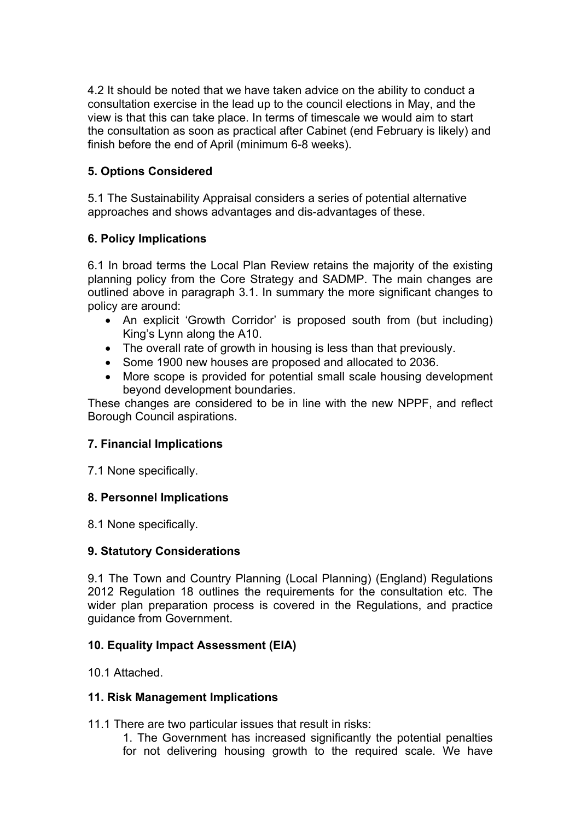4.2 It should be noted that we have taken advice on the ability to conduct a consultation exercise in the lead up to the council elections in May, and the view is that this can take place. In terms of timescale we would aim to start the consultation as soon as practical after Cabinet (end February is likely) and finish before the end of April (minimum 6-8 weeks).

## **5. Options Considered**

5.1 The Sustainability Appraisal considers a series of potential alternative approaches and shows advantages and dis-advantages of these.

## **6. Policy Implications**

6.1 In broad terms the Local Plan Review retains the majority of the existing planning policy from the Core Strategy and SADMP. The main changes are outlined above in paragraph 3.1. In summary the more significant changes to policy are around:

- An explicit 'Growth Corridor' is proposed south from (but including) King's Lynn along the A10.
- The overall rate of growth in housing is less than that previously.
- Some 1900 new houses are proposed and allocated to 2036.
- More scope is provided for potential small scale housing development beyond development boundaries.

These changes are considered to be in line with the new NPPF, and reflect Borough Council aspirations.

## **7. Financial Implications**

7.1 None specifically.

# **8. Personnel Implications**

8.1 None specifically.

# **9. Statutory Considerations**

9.1 The Town and Country Planning (Local Planning) (England) Regulations 2012 Regulation 18 outlines the requirements for the consultation etc. The wider plan preparation process is covered in the Regulations, and practice guidance from Government.

# **10. Equality Impact Assessment (EIA)**

10.1 Attached.

# **11. Risk Management Implications**

11.1 There are two particular issues that result in risks:

1. The Government has increased significantly the potential penalties for not delivering housing growth to the required scale. We have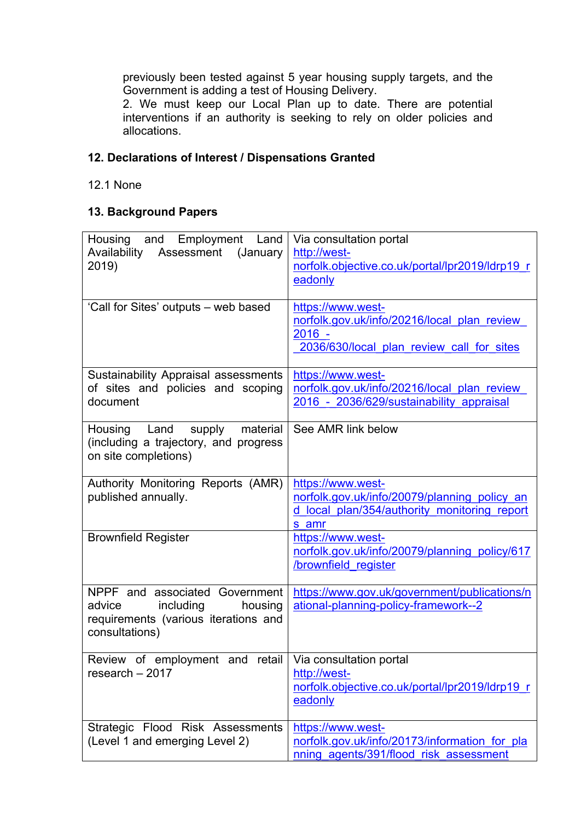previously been tested against 5 year housing supply targets, and the Government is adding a test of Housing Delivery.

2. We must keep our Local Plan up to date. There are potential interventions if an authority is seeking to rely on older policies and allocations.

# **12. Declarations of Interest / Dispensations Granted**

12.1 None

## **13. Background Papers**

| Employment Land<br>Housing and<br>Assessment (January<br>Availability<br>2019)                                             | Via consultation portal<br>http://west-<br>norfolk.objective.co.uk/portal/lpr2019/ldrp19_r<br>eadonly                      |
|----------------------------------------------------------------------------------------------------------------------------|----------------------------------------------------------------------------------------------------------------------------|
| 'Call for Sites' outputs - web based                                                                                       | https://www.west-<br>norfolk.gov.uk/info/20216/local plan review<br>$2016 -$<br>2036/630/local plan review call for sites  |
| Sustainability Appraisal assessments<br>of sites and policies and scoping<br>document                                      | https://www.west-<br>norfolk.gov.uk/info/20216/local plan review<br>2016 - 2036/629/sustainability appraisal               |
| supply<br>material<br>Housing<br>Land<br>(including a trajectory, and progress<br>on site completions)                     | See AMR link below                                                                                                         |
| Authority Monitoring Reports (AMR)<br>published annually.                                                                  | https://www.west-<br>norfolk.gov.uk/info/20079/planning policy an<br>d local plan/354/authority monitoring report<br>s amr |
| <b>Brownfield Register</b>                                                                                                 | https://www.west-<br>norfolk.gov.uk/info/20079/planning policy/617<br>/brownfield register                                 |
| NPPF and associated Government<br>including<br>advice<br>housing<br>requirements (various iterations and<br>consultations) | https://www.gov.uk/government/publications/n<br>ational-planning-policy-framework--2                                       |
| Review of employment and<br>retail<br>research $-2017$                                                                     | Via consultation portal<br>http://west-<br>norfolk.objective.co.uk/portal/lpr2019/ldrp19_r<br>eadonly                      |
| Strategic Flood Risk Assessments<br>(Level 1 and emerging Level 2)                                                         | https://www.west-<br>norfolk.gov.uk/info/20173/information for pla<br>nning agents/391/flood risk assessment               |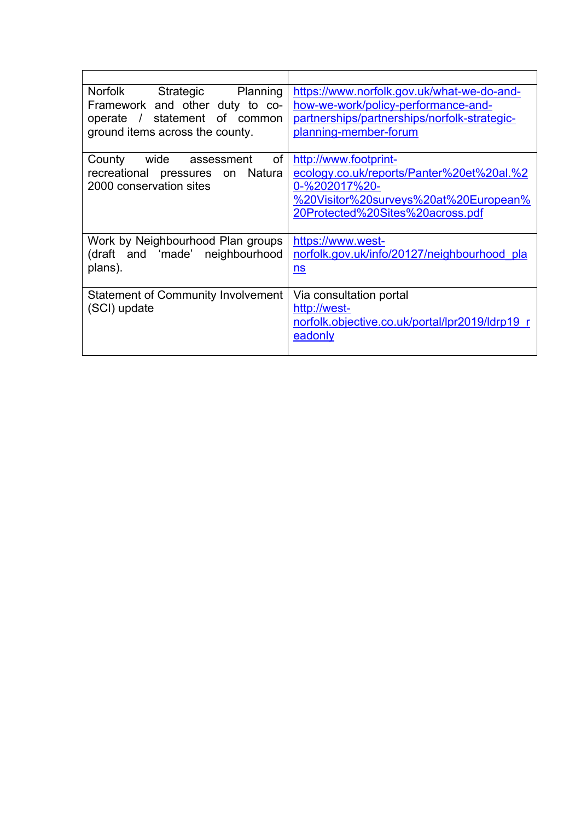| Norfolk Strategic Planning                | https://www.norfolk.gov.uk/what-we-do-and-      |
|-------------------------------------------|-------------------------------------------------|
| Framework and other duty to co-           | how-we-work/policy-performance-and-             |
| operate / statement of common             | partnerships/partnerships/norfolk-strategic-    |
| ground items across the county.           | planning-member-forum                           |
|                                           |                                                 |
| County wide assessment<br><b>of</b>       | http://www.footprint-                           |
| recreational pressures on Natura          | ecology.co.uk/reports/Panter%20et%20al.%2       |
| 2000 conservation sites                   | 0-%202017%20-                                   |
|                                           | %20Visitor%20surveys%20at%20European%           |
|                                           | 20Protected%20Sites%20across.pdf                |
|                                           |                                                 |
| Work by Neighbourhood Plan groups         | https://www.west-                               |
| (draft and 'made' neighbourhood           | norfolk.gov.uk/info/20127/neighbourhood pla     |
| plans).                                   | ns                                              |
|                                           |                                                 |
| <b>Statement of Community Involvement</b> | Via consultation portal                         |
| (SCI) update                              | http://west-                                    |
|                                           | norfolk.objective.co.uk/portal/lpr2019/ldrp19 r |
|                                           | eadonly                                         |
|                                           |                                                 |